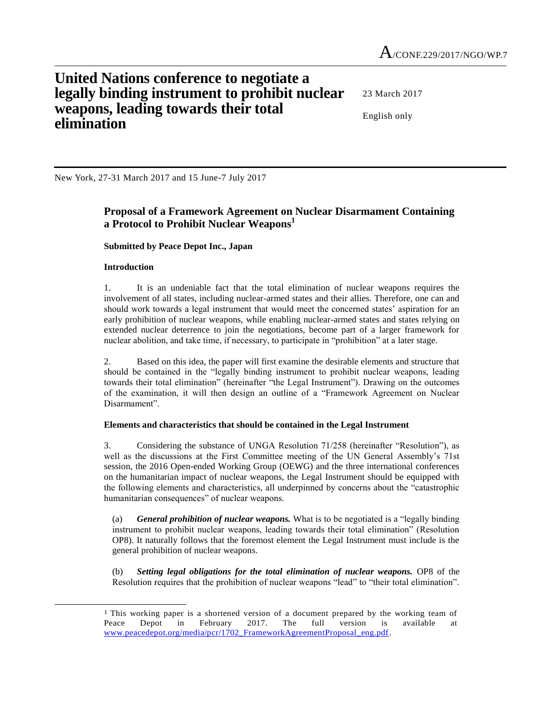# **United Nations conference to negotiate a legally binding instrument to prohibit nuclear weapons, leading towards their total elimination**

23 March 2017

English only

New York, 27-31 March 2017 and 15 June-7 July 2017

# **Proposal of a Framework Agreement on Nuclear Disarmament Containing a Protocol to Prohibit Nuclear Weapons<sup>1</sup>**

## **Submitted by Peace Depot Inc., Japan**

## **Introduction**

l

1. It is an undeniable fact that the total elimination of nuclear weapons requires the involvement of all states, including nuclear-armed states and their allies. Therefore, one can and should work towards a legal instrument that would meet the concerned states' aspiration for an early prohibition of nuclear weapons, while enabling nuclear-armed states and states relying on extended nuclear deterrence to join the negotiations, become part of a larger framework for nuclear abolition, and take time, if necessary, to participate in "prohibition" at a later stage.

2. Based on this idea, the paper will first examine the desirable elements and structure that should be contained in the "legally binding instrument to prohibit nuclear weapons, leading towards their total elimination" (hereinafter "the Legal Instrument"). Drawing on the outcomes of the examination, it will then design an outline of a "Framework Agreement on Nuclear Disarmament".

#### **Elements and characteristics that should be contained in the Legal Instrument**

3. Considering the substance of UNGA Resolution 71/258 (hereinafter "Resolution"), as well as the discussions at the First Committee meeting of the UN General Assembly's 71st session, the 2016 Open-ended Working Group (OEWG) and the three international conferences on the humanitarian impact of nuclear weapons, the Legal Instrument should be equipped with the following elements and characteristics, all underpinned by concerns about the "catastrophic humanitarian consequences" of nuclear weapons.

(a) *General prohibition of nuclear weapons.* What is to be negotiated is a "legally binding instrument to prohibit nuclear weapons, leading towards their total elimination" (Resolution OP8). It naturally follows that the foremost element the Legal Instrument must include is the general prohibition of nuclear weapons.

(b) *Setting legal obligations for the total elimination of nuclear weapons.* OP8 of the Resolution requires that the prohibition of nuclear weapons "lead" to "their total elimination".

<sup>1</sup> This working paper is a shortened version of a document prepared by the working team of Peace Depot in February 2017. The full version is available at [www.peacedepot.org/media/pcr/1702\\_FrameworkAgreementProposal\\_eng.pdf.](http://www.peacedepot.org/media/pcr/1702_FrameworkAgreementProposal_eng.pdf)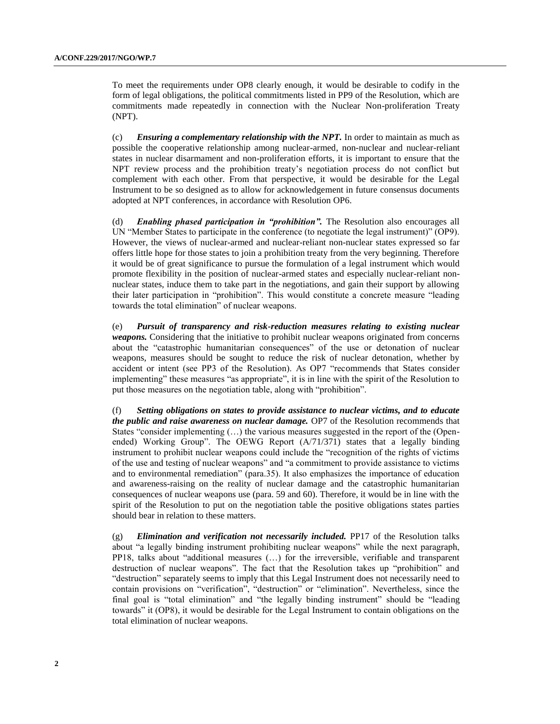To meet the requirements under OP8 clearly enough, it would be desirable to codify in the form of legal obligations, the political commitments listed in PP9 of the Resolution, which are commitments made repeatedly in connection with the Nuclear Non-proliferation Treaty (NPT).

(c) *Ensuring a complementary relationship with the NPT.* In order to maintain as much as possible the cooperative relationship among nuclear-armed, non-nuclear and nuclear-reliant states in nuclear disarmament and non-proliferation efforts, it is important to ensure that the NPT review process and the prohibition treaty's negotiation process do not conflict but complement with each other. From that perspective, it would be desirable for the Legal Instrument to be so designed as to allow for acknowledgement in future consensus documents adopted at NPT conferences, in accordance with Resolution OP6.

(d) *Enabling phased participation in "prohibition".* The Resolution also encourages all UN "Member States to participate in the conference (to negotiate the legal instrument)" (OP9). However, the views of nuclear-armed and nuclear-reliant non-nuclear states expressed so far offers little hope for those states to join a prohibition treaty from the very beginning. Therefore it would be of great significance to pursue the formulation of a legal instrument which would promote flexibility in the position of nuclear-armed states and especially nuclear-reliant nonnuclear states, induce them to take part in the negotiations, and gain their support by allowing their later participation in "prohibition". This would constitute a concrete measure "leading towards the total elimination" of nuclear weapons.

(e) *Pursuit of transparency and risk-reduction measures relating to existing nuclear weapons.* Considering that the initiative to prohibit nuclear weapons originated from concerns about the "catastrophic humanitarian consequences" of the use or detonation of nuclear weapons, measures should be sought to reduce the risk of nuclear detonation, whether by accident or intent (see PP3 of the Resolution). As OP7 "recommends that States consider implementing" these measures "as appropriate", it is in line with the spirit of the Resolution to put those measures on the negotiation table, along with "prohibition".

(f) *Setting obligations on states to provide assistance to nuclear victims, and to educate the public and raise awareness on nuclear damage.* OP7 of the Resolution recommends that States "consider implementing (…) the various measures suggested in the report of the (Openended) Working Group". The OEWG Report (A/71/371) states that a legally binding instrument to prohibit nuclear weapons could include the "recognition of the rights of victims of the use and testing of nuclear weapons" and "a commitment to provide assistance to victims and to environmental remediation" (para.35). It also emphasizes the importance of education and awareness-raising on the reality of nuclear damage and the catastrophic humanitarian consequences of nuclear weapons use (para. 59 and 60). Therefore, it would be in line with the spirit of the Resolution to put on the negotiation table the positive obligations states parties should bear in relation to these matters.

(g) *Elimination and verification not necessarily included.* PP17 of the Resolution talks about "a legally binding instrument prohibiting nuclear weapons" while the next paragraph, PP18, talks about "additional measures (…) for the irreversible, verifiable and transparent destruction of nuclear weapons". The fact that the Resolution takes up "prohibition" and "destruction" separately seems to imply that this Legal Instrument does not necessarily need to contain provisions on "verification", "destruction" or "elimination". Nevertheless, since the final goal is "total elimination" and "the legally binding instrument" should be "leading towards" it (OP8), it would be desirable for the Legal Instrument to contain obligations on the total elimination of nuclear weapons.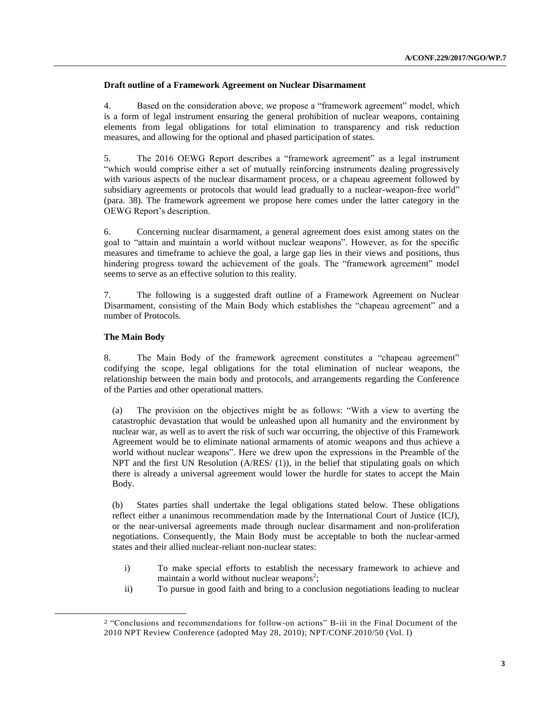# **Draft outline of a Framework Agreement on Nuclear Disarmament**

4. Based on the consideration above, we propose a "framework agreement" model, which is a form of legal instrument ensuring the general prohibition of nuclear weapons, containing elements from legal obligations for total elimination to transparency and risk reduction measures, and allowing for the optional and phased participation of states.

5. The 2016 OEWG Report describes a "framework agreement" as a legal instrument "which would comprise either a set of mutually reinforcing instruments dealing progressively with various aspects of the nuclear disarmament process, or a chapeau agreement followed by subsidiary agreements or protocols that would lead gradually to a nuclear-weapon-free world" (para. 38). The framework agreement we propose here comes under the latter category in the OEWG Report's description.

6. Concerning nuclear disarmament, a general agreement does exist among states on the goal to "attain and maintain a world without nuclear weapons". However, as for the specific measures and timeframe to achieve the goal, a large gap lies in their views and positions, thus hindering progress toward the achievement of the goals. The "framework agreement" model seems to serve as an effective solution to this reality.

7. The following is a suggested draft outline of a Framework Agreement on Nuclear Disarmament, consisting of the Main Body which establishes the "chapeau agreement" and a number of Protocols.

#### **The Main Body**

l

8. The Main Body of the framework agreement constitutes a "chapeau agreement" codifying the scope, legal obligations for the total elimination of nuclear weapons, the relationship between the main body and protocols, and arrangements regarding the Conference of the Parties and other operational matters.

(a) The provision on the objectives might be as follows: "With a view to averting the catastrophic devastation that would be unleashed upon all humanity and the environment by nuclear war, as well as to avert the risk of such war occurring, the objective of this Framework Agreement would be to eliminate national armaments of atomic weapons and thus achieve a world without nuclear weapons". Here we drew upon the expressions in the Preamble of the NPT and the first UN Resolution (A/RES/ (1)), in the belief that stipulating goals on which there is already a universal agreement would lower the hurdle for states to accept the Main Body.

(b) States parties shall undertake the legal obligations stated below. These obligations reflect either a unanimous recommendation made by the International Court of Justice (ICJ), or the near-universal agreements made through nuclear disarmament and non-proliferation negotiations. Consequently, the Main Body must be acceptable to both the nuclear-armed states and their allied nuclear-reliant non-nuclear states:

- i) To make special efforts to establish the necessary framework to achieve and maintain a world without nuclear weapons<sup>2</sup>;
- ii) To pursue in good faith and bring to a conclusion negotiations leading to nuclear

<sup>2</sup> "Conclusions and recommendations for follow-on actions" B-iii in the Final Document of the 2010 NPT Review Conference (adopted May 28, 2010); NPT/CONF.2010/50 (Vol. I)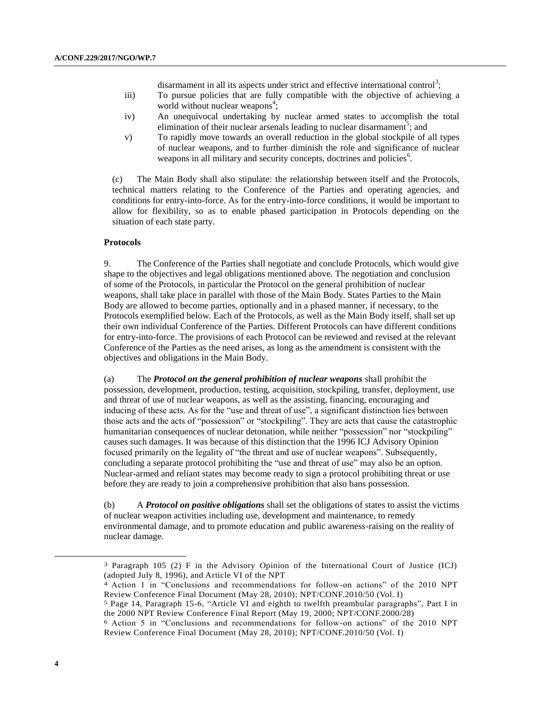disarmament in all its aspects under strict and effective international control<sup>3</sup>;

- iii) To pursue policies that are fully compatible with the objective of achieving a world without nuclear weapons<sup>4</sup>;
- iv) An unequivocal undertaking by nuclear armed states to accomplish the total elimination of their nuclear arsenals leading to nuclear disarmament<sup>5</sup>; and
- v) To rapidly move towards an overall reduction in the global stockpile of all types of nuclear weapons, and to further diminish the role and significance of nuclear weapons in all military and security concepts, doctrines and policies<sup>6</sup>.

(c) The Main Body shall also stipulate: the relationship between itself and the Protocols, technical matters relating to the Conference of the Parties and operating agencies, and conditions for entry-into-force. As for the entry-into-force conditions, it would be important to allow for flexibility, so as to enable phased participation in Protocols depending on the situation of each state party.

#### **Protocols**

9. The Conference of the Parties shall negotiate and conclude Protocols, which would give shape to the objectives and legal obligations mentioned above. The negotiation and conclusion of some of the Protocols, in particular the Protocol on the general prohibition of nuclear weapons, shall take place in parallel with those of the Main Body. States Parties to the Main Body are allowed to become parties, optionally and in a phased manner, if necessary, to the Protocols exemplified below. Each of the Protocols, as well as the Main Body itself, shall set up their own individual Conference of the Parties. Different Protocols can have different conditions for entry-into-force. The provisions of each Protocol can be reviewed and revised at the relevant Conference of the Parties as the need arises, as long as the amendment is consistent with the objectives and obligations in the Main Body.

(a) The *Protocol on the general prohibition of nuclear weapons* shall prohibit the possession, development, production, testing, acquisition, stockpiling, transfer, deployment, use and threat of use of nuclear weapons, as well as the assisting, financing, encouraging and inducing of these acts. As for the "use and threat of use", a significant distinction lies between those acts and the acts of "possession" or "stockpiling". They are acts that cause the catastrophic humanitarian consequences of nuclear detonation, while neither "possession" nor "stockpiling" causes such damages. It was because of this distinction that the 1996 ICJ Advisory Opinion focused primarily on the legality of "the threat and use of nuclear weapons". Subsequently, concluding a separate protocol prohibiting the "use and threat of use" may also be an option. Nuclear-armed and reliant states may become ready to sign a protocol prohibiting threat or use before they are ready to join a comprehensive prohibition that also bans possession.

(b) A *Protocol on positive obligations* shall set the obligations of states to assist the victims of nuclear weapon activities including use, development and maintenance, to remedy environmental damage, and to promote education and public awareness-raising on the reality of nuclear damage.

l

<sup>3</sup> Paragraph 105 (2) F in the Advisory Opinion of the International Court of Justice (ICJ) (adopted July 8, 1996), and Article VI of the NPT

<sup>4</sup> Action 1 in "Conclusions and recommendations for follow-on actions" of the 2010 NPT Review Conference Final Document (May 28, 2010); NPT/CONF.2010/50 (Vol. I)

<sup>5</sup> Page 14, Paragraph 15-6, "Article VI and eighth to twelfth preambular paragraphs", Part I in the 2000 NPT Review Conference Final Report (May 19, 2000; NPT/CONF.2000/28)

<sup>6</sup> Action 5 in "Conclusions and recommendations for follow-on actions" of the 2010 NPT Review Conference Final Document (May 28, 2010); NPT/CONF.2010/50 (Vol. I)